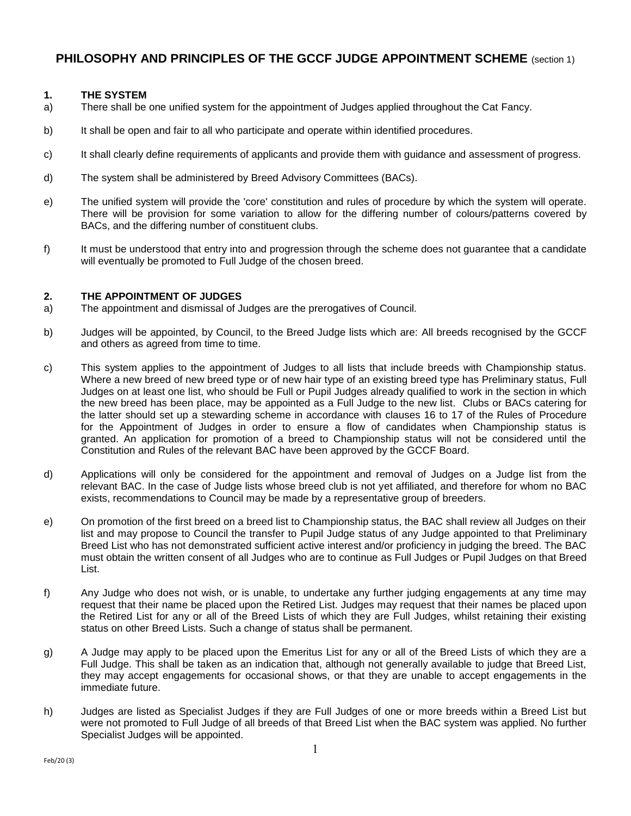# **PHILOSOPHY AND PRINCIPLES OF THE GCCF JUDGE APPOINTMENT SCHEME** (section 1)

### **1. THE SYSTEM**

- a) There shall be one unified system for the appointment of Judges applied throughout the Cat Fancy.
- b) It shall be open and fair to all who participate and operate within identified procedures.
- c) It shall clearly define requirements of applicants and provide them with guidance and assessment of progress.
- d) The system shall be administered by Breed Advisory Committees (BACs).
- e) The unified system will provide the 'core' constitution and rules of procedure by which the system will operate. There will be provision for some variation to allow for the differing number of colours/patterns covered by BACs, and the differing number of constituent clubs.
- f) It must be understood that entry into and progression through the scheme does not guarantee that a candidate will eventually be promoted to Full Judge of the chosen breed.

# **2. THE APPOINTMENT OF JUDGES**

- a) The appointment and dismissal of Judges are the prerogatives of Council.
- b) Judges will be appointed, by Council, to the Breed Judge lists which are: All breeds recognised by the GCCF and others as agreed from time to time.
- c) This system applies to the appointment of Judges to all lists that include breeds with Championship status. Where a new breed of new breed type or of new hair type of an existing breed type has Preliminary status, Full Judges on at least one list, who should be Full or Pupil Judges already qualified to work in the section in which the new breed has been place, may be appointed as a Full Judge to the new list. Clubs or BACs catering for the latter should set up a stewarding scheme in accordance with clauses 16 to 17 of the Rules of Procedure for the Appointment of Judges in order to ensure a flow of candidates when Championship status is granted. An application for promotion of a breed to Championship status will not be considered until the Constitution and Rules of the relevant BAC have been approved by the GCCF Board.
- d) Applications will only be considered for the appointment and removal of Judges on a Judge list from the relevant BAC. In the case of Judge lists whose breed club is not yet affiliated, and therefore for whom no BAC exists, recommendations to Council may be made by a representative group of breeders.
- e) On promotion of the first breed on a breed list to Championship status, the BAC shall review all Judges on their list and may propose to Council the transfer to Pupil Judge status of any Judge appointed to that Preliminary Breed List who has not demonstrated sufficient active interest and/or proficiency in judging the breed. The BAC must obtain the written consent of all Judges who are to continue as Full Judges or Pupil Judges on that Breed List.
- f) Any Judge who does not wish, or is unable, to undertake any further judging engagements at any time may request that their name be placed upon the Retired List. Judges may request that their names be placed upon the Retired List for any or all of the Breed Lists of which they are Full Judges, whilst retaining their existing status on other Breed Lists. Such a change of status shall be permanent.
- g) A Judge may apply to be placed upon the Emeritus List for any or all of the Breed Lists of which they are a Full Judge. This shall be taken as an indication that, although not generally available to judge that Breed List, they may accept engagements for occasional shows, or that they are unable to accept engagements in the immediate future.
- h) Judges are listed as Specialist Judges if they are Full Judges of one or more breeds within a Breed List but were not promoted to Full Judge of all breeds of that Breed List when the BAC system was applied. No further Specialist Judges will be appointed.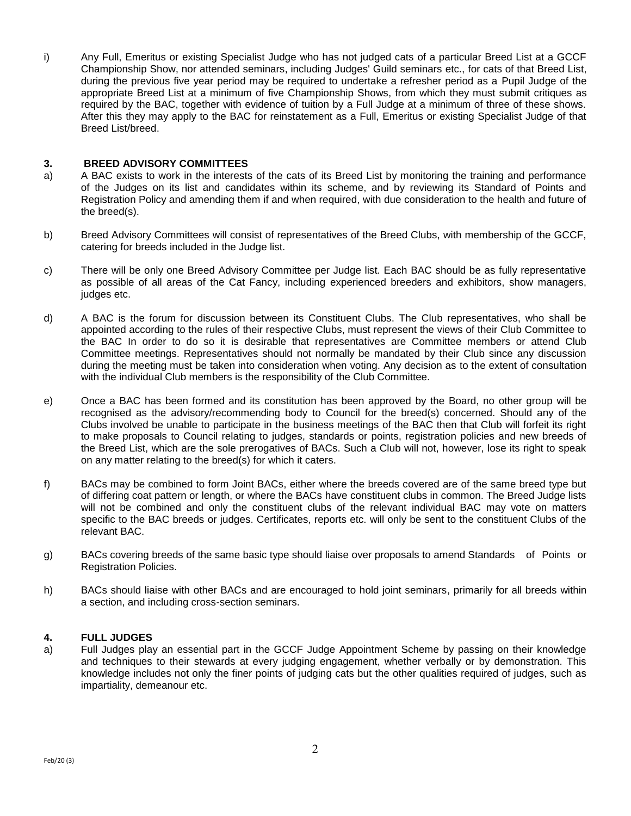i) Any Full, Emeritus or existing Specialist Judge who has not judged cats of a particular Breed List at a GCCF Championship Show, nor attended seminars, including Judges' Guild seminars etc., for cats of that Breed List, during the previous five year period may be required to undertake a refresher period as a Pupil Judge of the appropriate Breed List at a minimum of five Championship Shows, from which they must submit critiques as required by the BAC, together with evidence of tuition by a Full Judge at a minimum of three of these shows. After this they may apply to the BAC for reinstatement as a Full, Emeritus or existing Specialist Judge of that Breed List/breed.

### **3. BREED ADVISORY COMMITTEES**

- a) A BAC exists to work in the interests of the cats of its Breed List by monitoring the training and performance of the Judges on its list and candidates within its scheme, and by reviewing its Standard of Points and Registration Policy and amending them if and when required, with due consideration to the health and future of the breed(s).
- b) Breed Advisory Committees will consist of representatives of the Breed Clubs, with membership of the GCCF, catering for breeds included in the Judge list.
- c) There will be only one Breed Advisory Committee per Judge list. Each BAC should be as fully representative as possible of all areas of the Cat Fancy, including experienced breeders and exhibitors, show managers, judges etc.
- d) A BAC is the forum for discussion between its Constituent Clubs. The Club representatives, who shall be appointed according to the rules of their respective Clubs, must represent the views of their Club Committee to the BAC In order to do so it is desirable that representatives are Committee members or attend Club Committee meetings. Representatives should not normally be mandated by their Club since any discussion during the meeting must be taken into consideration when voting. Any decision as to the extent of consultation with the individual Club members is the responsibility of the Club Committee.
- e) Once a BAC has been formed and its constitution has been approved by the Board, no other group will be recognised as the advisory/recommending body to Council for the breed(s) concerned. Should any of the Clubs involved be unable to participate in the business meetings of the BAC then that Club will forfeit its right to make proposals to Council relating to judges, standards or points, registration policies and new breeds of the Breed List, which are the sole prerogatives of BACs. Such a Club will not, however, lose its right to speak on any matter relating to the breed(s) for which it caters.
- f) BACs may be combined to form Joint BACs, either where the breeds covered are of the same breed type but of differing coat pattern or length, or where the BACs have constituent clubs in common. The Breed Judge lists will not be combined and only the constituent clubs of the relevant individual BAC may vote on matters specific to the BAC breeds or judges. Certificates, reports etc. will only be sent to the constituent Clubs of the relevant BAC.
- g) BACs covering breeds of the same basic type should liaise over proposals to amend Standards of Points or Registration Policies.
- h) BACs should liaise with other BACs and are encouraged to hold joint seminars, primarily for all breeds within a section, and including cross-section seminars.

# **4. FULL JUDGES**

a) Full Judges play an essential part in the GCCF Judge Appointment Scheme by passing on their knowledge and techniques to their stewards at every judging engagement, whether verbally or by demonstration. This knowledge includes not only the finer points of judging cats but the other qualities required of judges, such as impartiality, demeanour etc.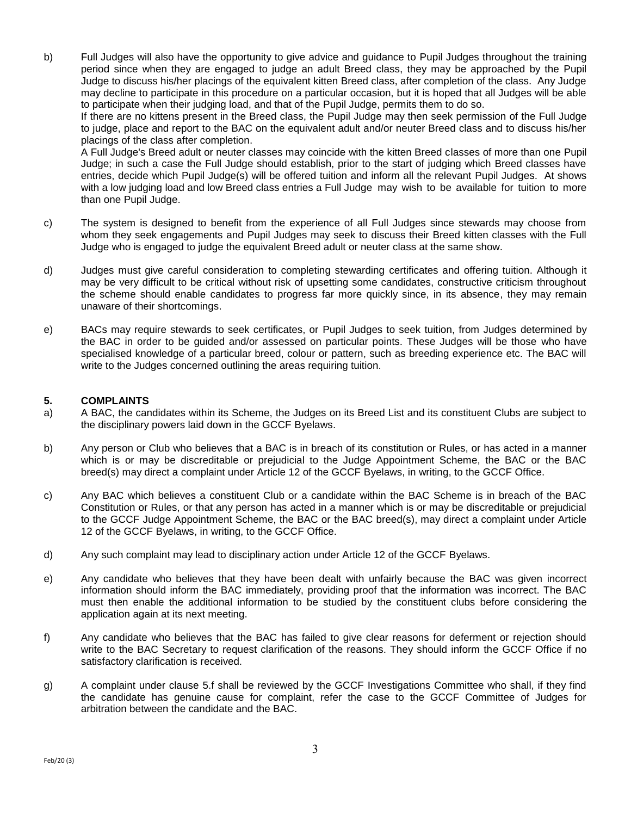b) Full Judges will also have the opportunity to give advice and guidance to Pupil Judges throughout the training period since when they are engaged to judge an adult Breed class, they may be approached by the Pupil Judge to discuss his/her placings of the equivalent kitten Breed class, after completion of the class. Any Judge may decline to participate in this procedure on a particular occasion, but it is hoped that all Judges will be able to participate when their judging load, and that of the Pupil Judge, permits them to do so.

If there are no kittens present in the Breed class, the Pupil Judge may then seek permission of the Full Judge to judge, place and report to the BAC on the equivalent adult and/or neuter Breed class and to discuss his/her placings of the class after completion.

A Full Judge's Breed adult or neuter classes may coincide with the kitten Breed classes of more than one Pupil Judge; in such a case the Full Judge should establish, prior to the start of judging which Breed classes have entries, decide which Pupil Judge(s) will be offered tuition and inform all the relevant Pupil Judges. At shows with a low judging load and low Breed class entries a Full Judge may wish to be available for tuition to more than one Pupil Judge.

- c) The system is designed to benefit from the experience of all Full Judges since stewards may choose from whom they seek engagements and Pupil Judges may seek to discuss their Breed kitten classes with the Full Judge who is engaged to judge the equivalent Breed adult or neuter class at the same show.
- d) Judges must give careful consideration to completing stewarding certificates and offering tuition. Although it may be very difficult to be critical without risk of upsetting some candidates, constructive criticism throughout the scheme should enable candidates to progress far more quickly since, in its absence, they may remain unaware of their shortcomings.
- e) BACs may require stewards to seek certificates, or Pupil Judges to seek tuition, from Judges determined by the BAC in order to be guided and/or assessed on particular points. These Judges will be those who have specialised knowledge of a particular breed, colour or pattern, such as breeding experience etc. The BAC will write to the Judges concerned outlining the areas requiring tuition.

# **5. COMPLAINTS**

- a) A BAC, the candidates within its Scheme, the Judges on its Breed List and its constituent Clubs are subject to the disciplinary powers laid down in the GCCF Byelaws.
- b) Any person or Club who believes that a BAC is in breach of its constitution or Rules, or has acted in a manner which is or may be discreditable or prejudicial to the Judge Appointment Scheme, the BAC or the BAC breed(s) may direct a complaint under Article 12 of the GCCF Byelaws, in writing, to the GCCF Office.
- c) Any BAC which believes a constituent Club or a candidate within the BAC Scheme is in breach of the BAC Constitution or Rules, or that any person has acted in a manner which is or may be discreditable or prejudicial to the GCCF Judge Appointment Scheme, the BAC or the BAC breed(s), may direct a complaint under Article 12 of the GCCF Byelaws, in writing, to the GCCF Office.
- d) Any such complaint may lead to disciplinary action under Article 12 of the GCCF Byelaws.
- e) Any candidate who believes that they have been dealt with unfairly because the BAC was given incorrect information should inform the BAC immediately, providing proof that the information was incorrect. The BAC must then enable the additional information to be studied by the constituent clubs before considering the application again at its next meeting.
- f) Any candidate who believes that the BAC has failed to give clear reasons for deferment or rejection should write to the BAC Secretary to request clarification of the reasons. They should inform the GCCF Office if no satisfactory clarification is received.
- g) A complaint under clause 5.f shall be reviewed by the GCCF Investigations Committee who shall, if they find the candidate has genuine cause for complaint, refer the case to the GCCF Committee of Judges for arbitration between the candidate and the BAC.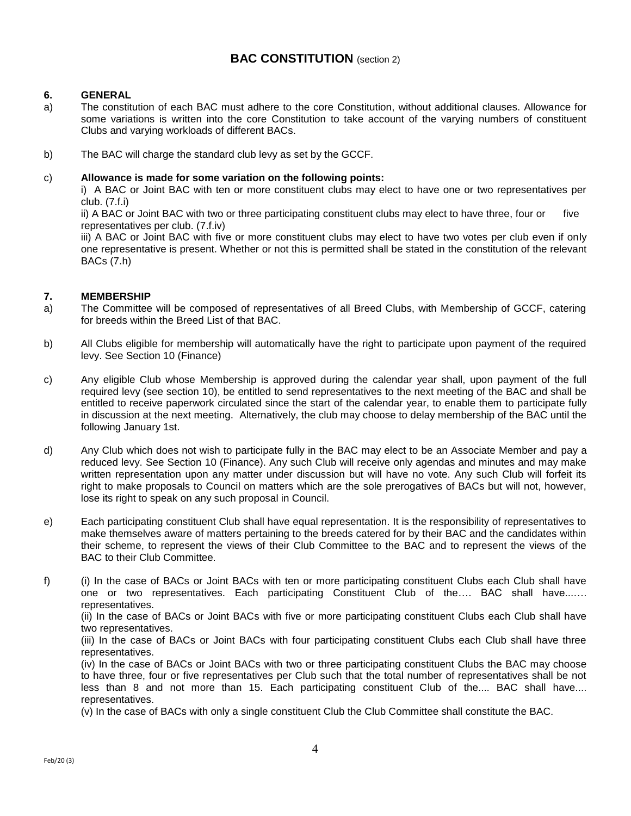# **BAC CONSTITUTION** (section 2)

# **6. GENERAL**

- a) The constitution of each BAC must adhere to the core Constitution, without additional clauses. Allowance for some variations is written into the core Constitution to take account of the varying numbers of constituent Clubs and varying workloads of different BACs.
- b) The BAC will charge the standard club levy as set by the GCCF.

# c) **Allowance is made for some variation on the following points:**

i) A BAC or Joint BAC with ten or more constituent clubs may elect to have one or two representatives per club. (7.f.i)

ii) A BAC or Joint BAC with two or three participating constituent clubs may elect to have three, four or five representatives per club. (7.f.iv)

iii) A BAC or Joint BAC with five or more constituent clubs may elect to have two votes per club even if only one representative is present. Whether or not this is permitted shall be stated in the constitution of the relevant BACs (7.h)

# **7. MEMBERSHIP**

- a) The Committee will be composed of representatives of all Breed Clubs, with Membership of GCCF, catering for breeds within the Breed List of that BAC.
- b) All Clubs eligible for membership will automatically have the right to participate upon payment of the required levy. See Section 10 (Finance)
- c) Any eligible Club whose Membership is approved during the calendar year shall, upon payment of the full required levy (see section 10), be entitled to send representatives to the next meeting of the BAC and shall be entitled to receive paperwork circulated since the start of the calendar year, to enable them to participate fully in discussion at the next meeting. Alternatively, the club may choose to delay membership of the BAC until the following January 1st.
- d) Any Club which does not wish to participate fully in the BAC may elect to be an Associate Member and pay a reduced levy. See Section 10 (Finance). Any such Club will receive only agendas and minutes and may make written representation upon any matter under discussion but will have no vote. Any such Club will forfeit its right to make proposals to Council on matters which are the sole prerogatives of BACs but will not, however, lose its right to speak on any such proposal in Council.
- e) Each participating constituent Club shall have equal representation. It is the responsibility of representatives to make themselves aware of matters pertaining to the breeds catered for by their BAC and the candidates within their scheme, to represent the views of their Club Committee to the BAC and to represent the views of the BAC to their Club Committee.
- f) (i) In the case of BACs or Joint BACs with ten or more participating constituent Clubs each Club shall have one or two representatives. Each participating Constituent Club of the…. BAC shall have...…. representatives.

(ii) In the case of BACs or Joint BACs with five or more participating constituent Clubs each Club shall have two representatives.

(iii) In the case of BACs or Joint BACs with four participating constituent Clubs each Club shall have three representatives.

(iv) In the case of BACs or Joint BACs with two or three participating constituent Clubs the BAC may choose to have three, four or five representatives per Club such that the total number of representatives shall be not less than 8 and not more than 15. Each participating constituent Club of the.... BAC shall have.... representatives.

(v) In the case of BACs with only a single constituent Club the Club Committee shall constitute the BAC.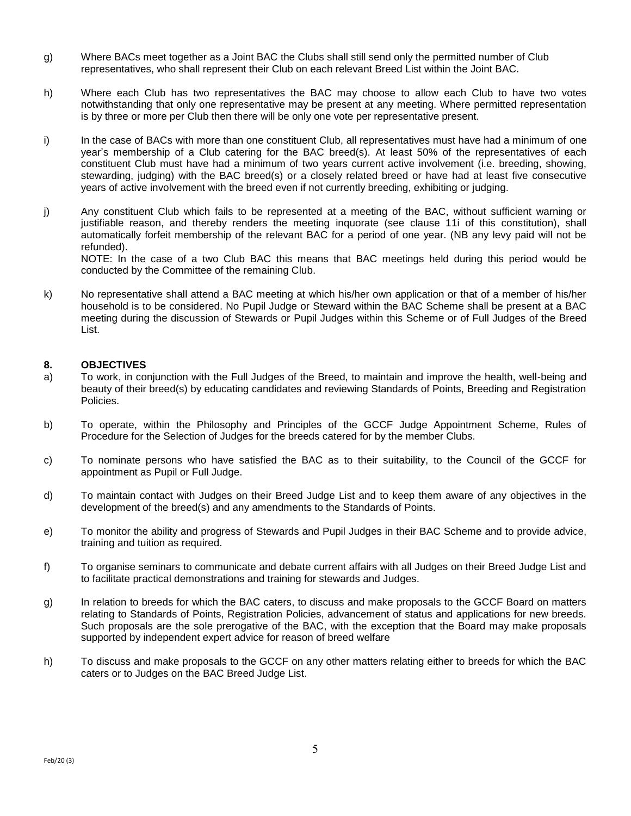- g) Where BACs meet together as a Joint BAC the Clubs shall still send only the permitted number of Club representatives, who shall represent their Club on each relevant Breed List within the Joint BAC.
- h) Where each Club has two representatives the BAC may choose to allow each Club to have two votes notwithstanding that only one representative may be present at any meeting. Where permitted representation is by three or more per Club then there will be only one vote per representative present.
- i) In the case of BACs with more than one constituent Club, all representatives must have had a minimum of one year's membership of a Club catering for the BAC breed(s). At least 50% of the representatives of each constituent Club must have had a minimum of two years current active involvement (i.e. breeding, showing, stewarding, judging) with the BAC breed(s) or a closely related breed or have had at least five consecutive years of active involvement with the breed even if not currently breeding, exhibiting or judging.
- j) Any constituent Club which fails to be represented at a meeting of the BAC, without sufficient warning or justifiable reason, and thereby renders the meeting inquorate (see clause 11i of this constitution), shall automatically forfeit membership of the relevant BAC for a period of one year. (NB any levy paid will not be refunded). NOTE: In the case of a two Club BAC this means that BAC meetings held during this period would be

conducted by the Committee of the remaining Club.

k) No representative shall attend a BAC meeting at which his/her own application or that of a member of his/her household is to be considered. No Pupil Judge or Steward within the BAC Scheme shall be present at a BAC meeting during the discussion of Stewards or Pupil Judges within this Scheme or of Full Judges of the Breed List.

# **8. OBJECTIVES**

- a) To work, in conjunction with the Full Judges of the Breed, to maintain and improve the health, well-being and beauty of their breed(s) by educating candidates and reviewing Standards of Points, Breeding and Registration Policies.
- b) To operate, within the Philosophy and Principles of the GCCF Judge Appointment Scheme, Rules of Procedure for the Selection of Judges for the breeds catered for by the member Clubs.
- c) To nominate persons who have satisfied the BAC as to their suitability, to the Council of the GCCF for appointment as Pupil or Full Judge.
- d) To maintain contact with Judges on their Breed Judge List and to keep them aware of any objectives in the development of the breed(s) and any amendments to the Standards of Points.
- e) To monitor the ability and progress of Stewards and Pupil Judges in their BAC Scheme and to provide advice, training and tuition as required.
- f) To organise seminars to communicate and debate current affairs with all Judges on their Breed Judge List and to facilitate practical demonstrations and training for stewards and Judges.
- g) In relation to breeds for which the BAC caters, to discuss and make proposals to the GCCF Board on matters relating to Standards of Points, Registration Policies, advancement of status and applications for new breeds. Such proposals are the sole prerogative of the BAC, with the exception that the Board may make proposals supported by independent expert advice for reason of breed welfare
- h) To discuss and make proposals to the GCCF on any other matters relating either to breeds for which the BAC caters or to Judges on the BAC Breed Judge List.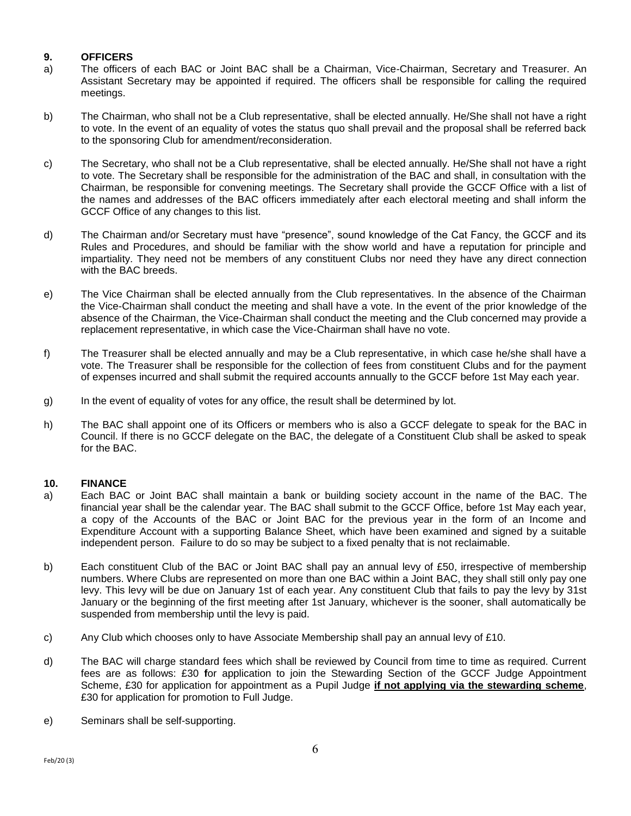# **9. OFFICERS**

- a) The officers of each BAC or Joint BAC shall be a Chairman, Vice-Chairman, Secretary and Treasurer. An Assistant Secretary may be appointed if required. The officers shall be responsible for calling the required meetings.
- b) The Chairman, who shall not be a Club representative, shall be elected annually. He/She shall not have a right to vote. In the event of an equality of votes the status quo shall prevail and the proposal shall be referred back to the sponsoring Club for amendment/reconsideration.
- c) The Secretary, who shall not be a Club representative, shall be elected annually. He/She shall not have a right to vote. The Secretary shall be responsible for the administration of the BAC and shall, in consultation with the Chairman, be responsible for convening meetings. The Secretary shall provide the GCCF Office with a list of the names and addresses of the BAC officers immediately after each electoral meeting and shall inform the GCCF Office of any changes to this list.
- d) The Chairman and/or Secretary must have "presence", sound knowledge of the Cat Fancy, the GCCF and its Rules and Procedures, and should be familiar with the show world and have a reputation for principle and impartiality. They need not be members of any constituent Clubs nor need they have any direct connection with the BAC breeds.
- e) The Vice Chairman shall be elected annually from the Club representatives. In the absence of the Chairman the Vice-Chairman shall conduct the meeting and shall have a vote. In the event of the prior knowledge of the absence of the Chairman, the Vice-Chairman shall conduct the meeting and the Club concerned may provide a replacement representative, in which case the Vice-Chairman shall have no vote.
- f) The Treasurer shall be elected annually and may be a Club representative, in which case he/she shall have a vote. The Treasurer shall be responsible for the collection of fees from constituent Clubs and for the payment of expenses incurred and shall submit the required accounts annually to the GCCF before 1st May each year.
- g) In the event of equality of votes for any office, the result shall be determined by lot.
- h) The BAC shall appoint one of its Officers or members who is also a GCCF delegate to speak for the BAC in Council. If there is no GCCF delegate on the BAC, the delegate of a Constituent Club shall be asked to speak for the BAC.

# **10. FINANCE**

- a) Each BAC or Joint BAC shall maintain a bank or building society account in the name of the BAC. The financial year shall be the calendar year. The BAC shall submit to the GCCF Office, before 1st May each year, a copy of the Accounts of the BAC or Joint BAC for the previous year in the form of an Income and Expenditure Account with a supporting Balance Sheet, which have been examined and signed by a suitable independent person. Failure to do so may be subject to a fixed penalty that is not reclaimable.
- b) Each constituent Club of the BAC or Joint BAC shall pay an annual levy of £50, irrespective of membership numbers. Where Clubs are represented on more than one BAC within a Joint BAC, they shall still only pay one levy. This levy will be due on January 1st of each year. Any constituent Club that fails to pay the levy by 31st January or the beginning of the first meeting after 1st January, whichever is the sooner, shall automatically be suspended from membership until the levy is paid.
- c) Any Club which chooses only to have Associate Membership shall pay an annual levy of £10.
- d) The BAC will charge standard fees which shall be reviewed by Council from time to time as required. Current fees are as follows: £30 **f**or application to join the Stewarding Section of the GCCF Judge Appointment Scheme, £30 for application for appointment as a Pupil Judge **if not applying via the stewarding scheme**, £30 for application for promotion to Full Judge.
- e) Seminars shall be self-supporting.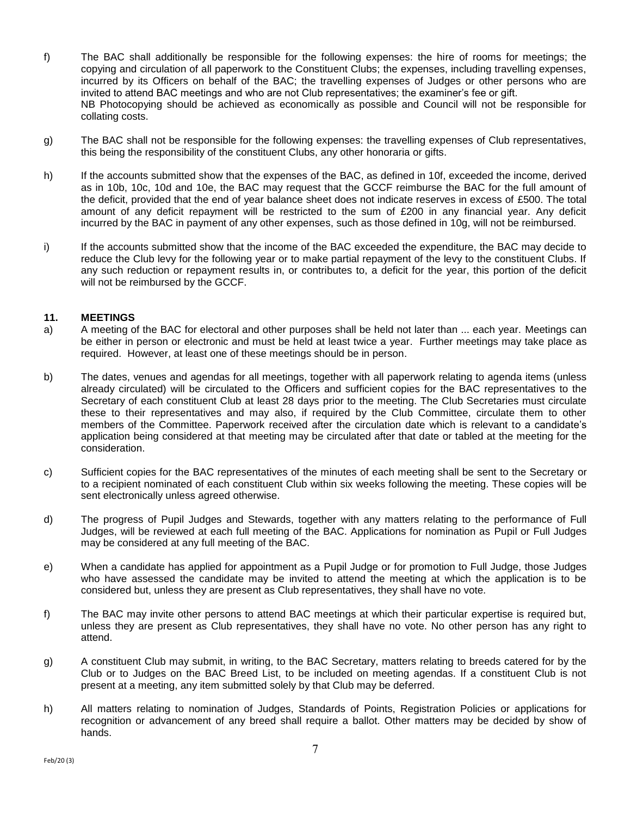- f) The BAC shall additionally be responsible for the following expenses: the hire of rooms for meetings; the copying and circulation of all paperwork to the Constituent Clubs; the expenses, including travelling expenses, incurred by its Officers on behalf of the BAC; the travelling expenses of Judges or other persons who are invited to attend BAC meetings and who are not Club representatives; the examiner's fee or gift. NB Photocopying should be achieved as economically as possible and Council will not be responsible for collating costs.
- g) The BAC shall not be responsible for the following expenses: the travelling expenses of Club representatives, this being the responsibility of the constituent Clubs, any other honoraria or gifts.
- h) If the accounts submitted show that the expenses of the BAC, as defined in 10f, exceeded the income, derived as in 10b, 10c, 10d and 10e, the BAC may request that the GCCF reimburse the BAC for the full amount of the deficit, provided that the end of year balance sheet does not indicate reserves in excess of £500. The total amount of any deficit repayment will be restricted to the sum of £200 in any financial year. Any deficit incurred by the BAC in payment of any other expenses, such as those defined in 10g, will not be reimbursed.
- i) If the accounts submitted show that the income of the BAC exceeded the expenditure, the BAC may decide to reduce the Club levy for the following year or to make partial repayment of the levy to the constituent Clubs. If any such reduction or repayment results in, or contributes to, a deficit for the year, this portion of the deficit will not be reimbursed by the GCCF.

### **11. MEETINGS**

- a) A meeting of the BAC for electoral and other purposes shall be held not later than ... each year. Meetings can be either in person or electronic and must be held at least twice a year. Further meetings may take place as required. However, at least one of these meetings should be in person.
- b) The dates, venues and agendas for all meetings, together with all paperwork relating to agenda items (unless already circulated) will be circulated to the Officers and sufficient copies for the BAC representatives to the Secretary of each constituent Club at least 28 days prior to the meeting. The Club Secretaries must circulate these to their representatives and may also, if required by the Club Committee, circulate them to other members of the Committee. Paperwork received after the circulation date which is relevant to a candidate's application being considered at that meeting may be circulated after that date or tabled at the meeting for the consideration.
- c) Sufficient copies for the BAC representatives of the minutes of each meeting shall be sent to the Secretary or to a recipient nominated of each constituent Club within six weeks following the meeting. These copies will be sent electronically unless agreed otherwise.
- d) The progress of Pupil Judges and Stewards, together with any matters relating to the performance of Full Judges, will be reviewed at each full meeting of the BAC. Applications for nomination as Pupil or Full Judges may be considered at any full meeting of the BAC.
- e) When a candidate has applied for appointment as a Pupil Judge or for promotion to Full Judge, those Judges who have assessed the candidate may be invited to attend the meeting at which the application is to be considered but, unless they are present as Club representatives, they shall have no vote.
- f) The BAC may invite other persons to attend BAC meetings at which their particular expertise is required but, unless they are present as Club representatives, they shall have no vote. No other person has any right to attend.
- g) A constituent Club may submit, in writing, to the BAC Secretary, matters relating to breeds catered for by the Club or to Judges on the BAC Breed List, to be included on meeting agendas. If a constituent Club is not present at a meeting, any item submitted solely by that Club may be deferred.
- h) All matters relating to nomination of Judges, Standards of Points, Registration Policies or applications for recognition or advancement of any breed shall require a ballot. Other matters may be decided by show of hands.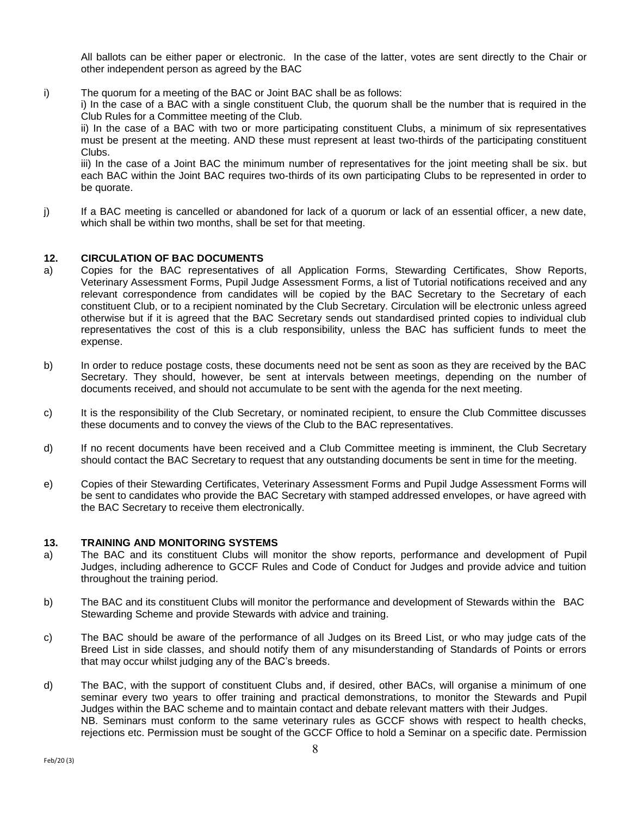All ballots can be either paper or electronic. In the case of the latter, votes are sent directly to the Chair or other independent person as agreed by the BAC

i) The quorum for a meeting of the BAC or Joint BAC shall be as follows:

i) In the case of a BAC with a single constituent Club, the quorum shall be the number that is required in the Club Rules for a Committee meeting of the Club.

ii) In the case of a BAC with two or more participating constituent Clubs, a minimum of six representatives must be present at the meeting. AND these must represent at least two-thirds of the participating constituent Clubs.

iii) In the case of a Joint BAC the minimum number of representatives for the joint meeting shall be six. but each BAC within the Joint BAC requires two-thirds of its own participating Clubs to be represented in order to be quorate.

j) If a BAC meeting is cancelled or abandoned for lack of a quorum or lack of an essential officer, a new date, which shall be within two months, shall be set for that meeting.

### **12. CIRCULATION OF BAC DOCUMENTS**

- a) Copies for the BAC representatives of all Application Forms, Stewarding Certificates, Show Reports, Veterinary Assessment Forms, Pupil Judge Assessment Forms, a list of Tutorial notifications received and any relevant correspondence from candidates will be copied by the BAC Secretary to the Secretary of each constituent Club, or to a recipient nominated by the Club Secretary. Circulation will be electronic unless agreed otherwise but if it is agreed that the BAC Secretary sends out standardised printed copies to individual club representatives the cost of this is a club responsibility, unless the BAC has sufficient funds to meet the expense.
- b) In order to reduce postage costs, these documents need not be sent as soon as they are received by the BAC Secretary. They should, however, be sent at intervals between meetings, depending on the number of documents received, and should not accumulate to be sent with the agenda for the next meeting.
- c) It is the responsibility of the Club Secretary, or nominated recipient, to ensure the Club Committee discusses these documents and to convey the views of the Club to the BAC representatives.
- d) If no recent documents have been received and a Club Committee meeting is imminent, the Club Secretary should contact the BAC Secretary to request that any outstanding documents be sent in time for the meeting.
- e) Copies of their Stewarding Certificates, Veterinary Assessment Forms and Pupil Judge Assessment Forms will be sent to candidates who provide the BAC Secretary with stamped addressed envelopes, or have agreed with the BAC Secretary to receive them electronically.

#### **13. TRAINING AND MONITORING SYSTEMS**

- a) The BAC and its constituent Clubs will monitor the show reports, performance and development of Pupil Judges, including adherence to GCCF Rules and Code of Conduct for Judges and provide advice and tuition throughout the training period.
- b) The BAC and its constituent Clubs will monitor the performance and development of Stewards within the BAC Stewarding Scheme and provide Stewards with advice and training.
- c) The BAC should be aware of the performance of all Judges on its Breed List, or who may judge cats of the Breed List in side classes, and should notify them of any misunderstanding of Standards of Points or errors that may occur whilst judging any of the BAC's breeds.
- d) The BAC, with the support of constituent Clubs and, if desired, other BACs, will organise a minimum of one seminar every two years to offer training and practical demonstrations, to monitor the Stewards and Pupil Judges within the BAC scheme and to maintain contact and debate relevant matters with their Judges. NB. Seminars must conform to the same veterinary rules as GCCF shows with respect to health checks, rejections etc. Permission must be sought of the GCCF Office to hold a Seminar on a specific date. Permission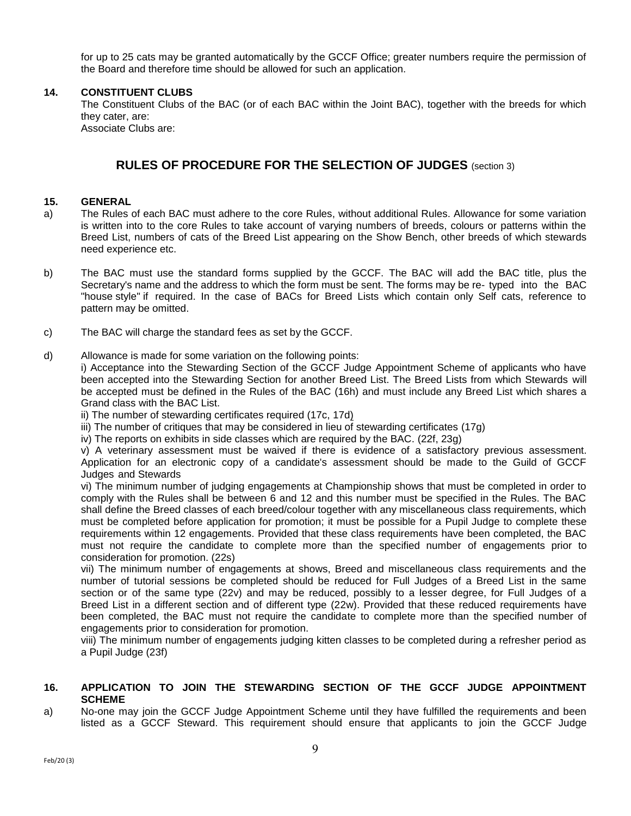for up to 25 cats may be granted automatically by the GCCF Office; greater numbers require the permission of the Board and therefore time should be allowed for such an application.

### **14. CONSTITUENT CLUBS**

The Constituent Clubs of the BAC (or of each BAC within the Joint BAC), together with the breeds for which they cater, are:

Associate Clubs are:

# **RULES OF PROCEDURE FOR THE SELECTION OF JUDGES** (section 3)

### **15. GENERAL**

- a) The Rules of each BAC must adhere to the core Rules, without additional Rules. Allowance for some variation is written into to the core Rules to take account of varying numbers of breeds, colours or patterns within the Breed List, numbers of cats of the Breed List appearing on the Show Bench, other breeds of which stewards need experience etc.
- b) The BAC must use the standard forms supplied by the GCCF. The BAC will add the BAC title, plus the Secretary's name and the address to which the form must be sent. The forms may be re- typed into the BAC "house style" if required. In the case of BACs for Breed Lists which contain only Self cats, reference to pattern may be omitted.
- c) The BAC will charge the standard fees as set by the GCCF.
- d) Allowance is made for some variation on the following points:

i) Acceptance into the Stewarding Section of the GCCF Judge Appointment Scheme of applicants who have been accepted into the Stewarding Section for another Breed List. The Breed Lists from which Stewards will be accepted must be defined in the Rules of the BAC (16h) and must include any Breed List which shares a Grand class with the BAC List.

ii) The number of stewarding certificates required (17c, 17d)

iii) The number of critiques that may be considered in lieu of stewarding certificates (17g)

iv) The reports on exhibits in side classes which are required by the BAC. (22f, 23g)

v) A veterinary assessment must be waived if there is evidence of a satisfactory previous assessment. Application for an electronic copy of a candidate's assessment should be made to the Guild of GCCF Judges and Stewards

vi) The minimum number of judging engagements at Championship shows that must be completed in order to comply with the Rules shall be between 6 and 12 and this number must be specified in the Rules. The BAC shall define the Breed classes of each breed/colour together with any miscellaneous class requirements, which must be completed before application for promotion; it must be possible for a Pupil Judge to complete these requirements within 12 engagements. Provided that these class requirements have been completed, the BAC must not require the candidate to complete more than the specified number of engagements prior to consideration for promotion. (22s)

vii) The minimum number of engagements at shows, Breed and miscellaneous class requirements and the number of tutorial sessions be completed should be reduced for Full Judges of a Breed List in the same section or of the same type (22v) and may be reduced, possibly to a lesser degree, for Full Judges of a Breed List in a different section and of different type (22w). Provided that these reduced requirements have been completed, the BAC must not require the candidate to complete more than the specified number of engagements prior to consideration for promotion.

viii) The minimum number of engagements judging kitten classes to be completed during a refresher period as a Pupil Judge (23f)

# **16. APPLICATION TO JOIN THE STEWARDING SECTION OF THE GCCF JUDGE APPOINTMENT SCHEME**

a) No-one may join the GCCF Judge Appointment Scheme until they have fulfilled the requirements and been listed as a GCCF Steward. This requirement should ensure that applicants to join the GCCF Judge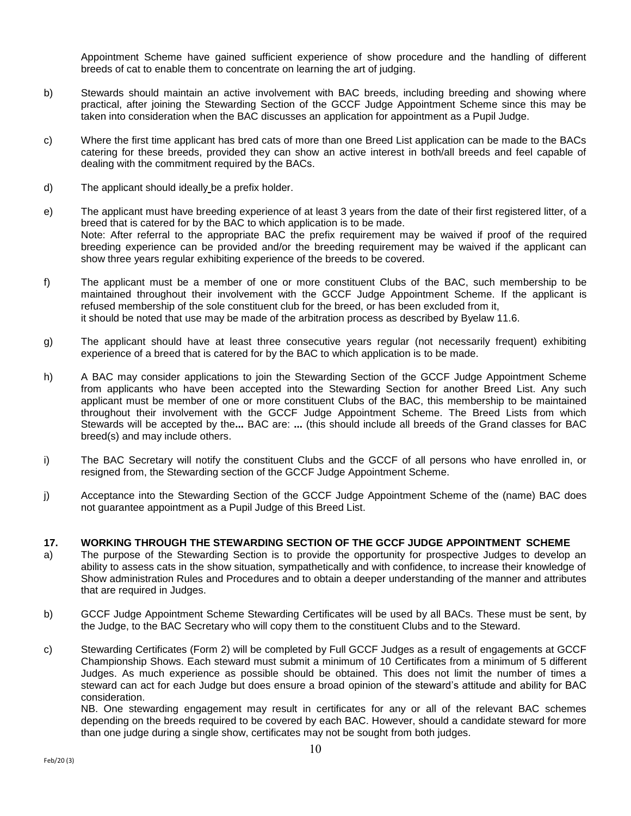Appointment Scheme have gained sufficient experience of show procedure and the handling of different breeds of cat to enable them to concentrate on learning the art of judging.

- b) Stewards should maintain an active involvement with BAC breeds, including breeding and showing where practical, after joining the Stewarding Section of the GCCF Judge Appointment Scheme since this may be taken into consideration when the BAC discusses an application for appointment as a Pupil Judge.
- c) Where the first time applicant has bred cats of more than one Breed List application can be made to the BACs catering for these breeds, provided they can show an active interest in both/all breeds and feel capable of dealing with the commitment required by the BACs.
- d) The applicant should ideally be a prefix holder.
- e) The applicant must have breeding experience of at least 3 years from the date of their first registered litter, of a breed that is catered for by the BAC to which application is to be made. Note: After referral to the appropriate BAC the prefix requirement may be waived if proof of the required breeding experience can be provided and/or the breeding requirement may be waived if the applicant can show three years regular exhibiting experience of the breeds to be covered.
- f) The applicant must be a member of one or more constituent Clubs of the BAC, such membership to be maintained throughout their involvement with the GCCF Judge Appointment Scheme. If the applicant is refused membership of the sole constituent club for the breed, or has been excluded from it, it should be noted that use may be made of the arbitration process as described by Byelaw 11.6.
- g) The applicant should have at least three consecutive years regular (not necessarily frequent) exhibiting experience of a breed that is catered for by the BAC to which application is to be made.
- h) A BAC may consider applications to join the Stewarding Section of the GCCF Judge Appointment Scheme from applicants who have been accepted into the Stewarding Section for another Breed List. Any such applicant must be member of one or more constituent Clubs of the BAC, this membership to be maintained throughout their involvement with the GCCF Judge Appointment Scheme. The Breed Lists from which Stewards will be accepted by the**...** BAC are: **...** (this should include all breeds of the Grand classes for BAC breed(s) and may include others.
- i) The BAC Secretary will notify the constituent Clubs and the GCCF of all persons who have enrolled in, or resigned from, the Stewarding section of the GCCF Judge Appointment Scheme.
- j) Acceptance into the Stewarding Section of the GCCF Judge Appointment Scheme of the (name) BAC does not guarantee appointment as a Pupil Judge of this Breed List.

#### **17. WORKING THROUGH THE STEWARDING SECTION OF THE GCCF JUDGE APPOINTMENT SCHEME**

- a) The purpose of the Stewarding Section is to provide the opportunity for prospective Judges to develop an ability to assess cats in the show situation, sympathetically and with confidence, to increase their knowledge of Show administration Rules and Procedures and to obtain a deeper understanding of the manner and attributes that are required in Judges.
- b) GCCF Judge Appointment Scheme Stewarding Certificates will be used by all BACs. These must be sent, by the Judge, to the BAC Secretary who will copy them to the constituent Clubs and to the Steward.
- c) Stewarding Certificates (Form 2) will be completed by Full GCCF Judges as a result of engagements at GCCF Championship Shows. Each steward must submit a minimum of 10 Certificates from a minimum of 5 different Judges. As much experience as possible should be obtained. This does not limit the number of times a steward can act for each Judge but does ensure a broad opinion of the steward's attitude and ability for BAC consideration.

NB. One stewarding engagement may result in certificates for any or all of the relevant BAC schemes depending on the breeds required to be covered by each BAC. However, should a candidate steward for more than one judge during a single show, certificates may not be sought from both judges.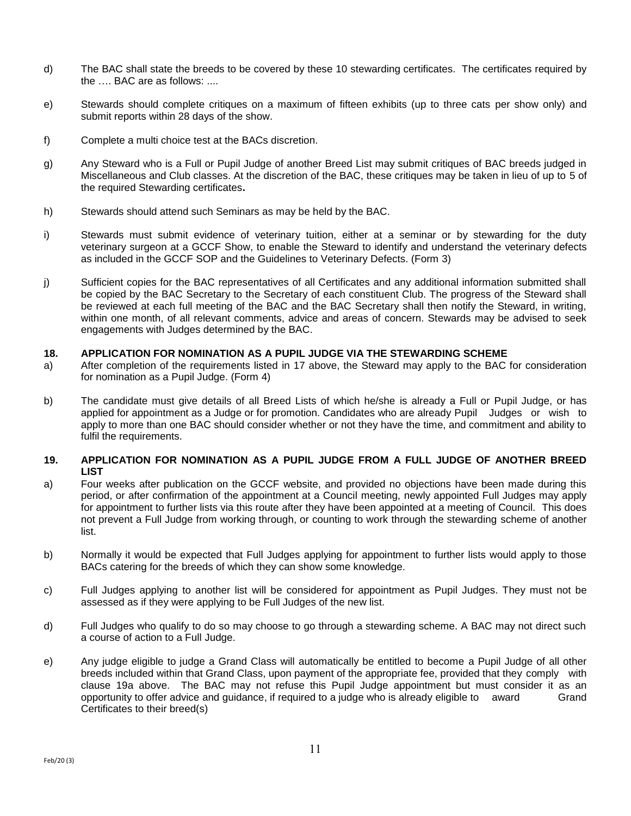- d) The BAC shall state the breeds to be covered by these 10 stewarding certificates. The certificates required by the …. BAC are as follows: ....
- e) Stewards should complete critiques on a maximum of fifteen exhibits (up to three cats per show only) and submit reports within 28 days of the show.
- f) Complete a multi choice test at the BACs discretion.
- g) Any Steward who is a Full or Pupil Judge of another Breed List may submit critiques of BAC breeds judged in Miscellaneous and Club classes. At the discretion of the BAC, these critiques may be taken in lieu of up to 5 of the required Stewarding certificates**.**
- h) Stewards should attend such Seminars as may be held by the BAC.
- i) Stewards must submit evidence of veterinary tuition, either at a seminar or by stewarding for the duty veterinary surgeon at a GCCF Show, to enable the Steward to identify and understand the veterinary defects as included in the GCCF SOP and the Guidelines to Veterinary Defects. (Form 3)
- j) Sufficient copies for the BAC representatives of all Certificates and any additional information submitted shall be copied by the BAC Secretary to the Secretary of each constituent Club. The progress of the Steward shall be reviewed at each full meeting of the BAC and the BAC Secretary shall then notify the Steward, in writing, within one month, of all relevant comments, advice and areas of concern. Stewards may be advised to seek engagements with Judges determined by the BAC.

### **18. APPLICATION FOR NOMINATION AS A PUPIL JUDGE VIA THE STEWARDING SCHEME**

- a) After completion of the requirements listed in 17 above, the Steward may apply to the BAC for consideration for nomination as a Pupil Judge. (Form 4)
- b) The candidate must give details of all Breed Lists of which he/she is already a Full or Pupil Judge, or has applied for appointment as a Judge or for promotion. Candidates who are already Pupil Judges or wish to apply to more than one BAC should consider whether or not they have the time, and commitment and ability to fulfil the requirements.

### **19. APPLICATION FOR NOMINATION AS A PUPIL JUDGE FROM A FULL JUDGE OF ANOTHER BREED LIST**

- a) Four weeks after publication on the GCCF website, and provided no objections have been made during this period, or after confirmation of the appointment at a Council meeting, newly appointed Full Judges may apply for appointment to further lists via this route after they have been appointed at a meeting of Council. This does not prevent a Full Judge from working through, or counting to work through the stewarding scheme of another list.
- b) Normally it would be expected that Full Judges applying for appointment to further lists would apply to those BACs catering for the breeds of which they can show some knowledge.
- c) Full Judges applying to another list will be considered for appointment as Pupil Judges. They must not be assessed as if they were applying to be Full Judges of the new list.
- d) Full Judges who qualify to do so may choose to go through a stewarding scheme. A BAC may not direct such a course of action to a Full Judge.
- e) Any judge eligible to judge a Grand Class will automatically be entitled to become a Pupil Judge of all other breeds included within that Grand Class, upon payment of the appropriate fee, provided that they comply with clause 19a above. The BAC may not refuse this Pupil Judge appointment but must consider it as an opportunity to offer advice and guidance, if required to a judge who is already eligible to award Grand Certificates to their breed(s)

11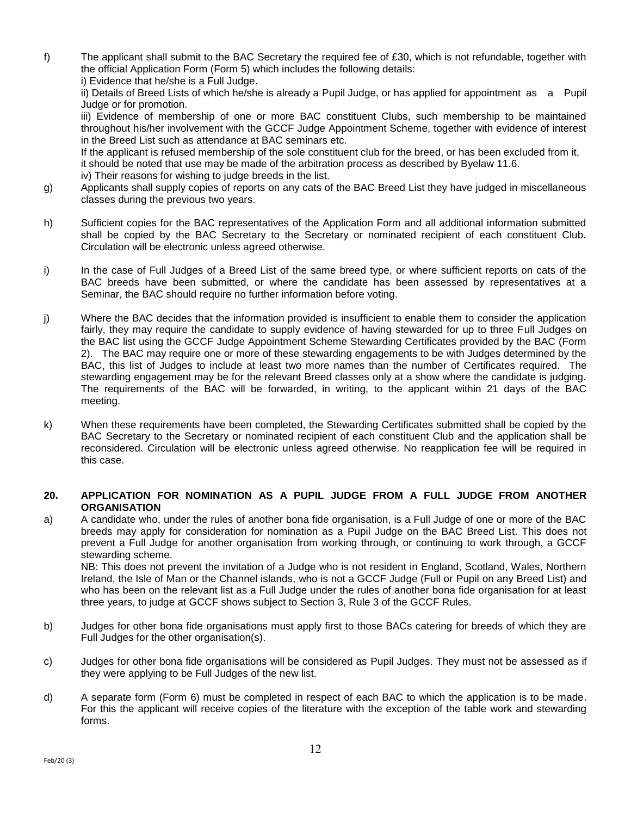f) The applicant shall submit to the BAC Secretary the required fee of £30, which is not refundable, together with the official Application Form (Form 5) which includes the following details:

i) Evidence that he/she is a Full Judge.

ii) Details of Breed Lists of which he/she is already a Pupil Judge, or has applied for appointment as a Pupil Judge or for promotion.

iii) Evidence of membership of one or more BAC constituent Clubs, such membership to be maintained throughout his/her involvement with the GCCF Judge Appointment Scheme, together with evidence of interest in the Breed List such as attendance at BAC seminars etc.

If the applicant is refused membership of the sole constituent club for the breed, or has been excluded from it,

it should be noted that use may be made of the arbitration process as described by Byelaw 11.6.

iv) Their reasons for wishing to judge breeds in the list.

- g) Applicants shall supply copies of reports on any cats of the BAC Breed List they have judged in miscellaneous classes during the previous two years.
- h) Sufficient copies for the BAC representatives of the Application Form and all additional information submitted shall be copied by the BAC Secretary to the Secretary or nominated recipient of each constituent Club. Circulation will be electronic unless agreed otherwise.
- i) In the case of Full Judges of a Breed List of the same breed type, or where sufficient reports on cats of the BAC breeds have been submitted, or where the candidate has been assessed by representatives at a Seminar, the BAC should require no further information before voting.
- j) Where the BAC decides that the information provided is insufficient to enable them to consider the application fairly, they may require the candidate to supply evidence of having stewarded for up to three Full Judges on the BAC list using the GCCF Judge Appointment Scheme Stewarding Certificates provided by the BAC (Form 2). The BAC may require one or more of these stewarding engagements to be with Judges determined by the BAC, this list of Judges to include at least two more names than the number of Certificates required. The stewarding engagement may be for the relevant Breed classes only at a show where the candidate is judging. The requirements of the BAC will be forwarded, in writing, to the applicant within 21 days of the BAC meeting.
- k) When these requirements have been completed, the Stewarding Certificates submitted shall be copied by the BAC Secretary to the Secretary or nominated recipient of each constituent Club and the application shall be reconsidered. Circulation will be electronic unless agreed otherwise. No reapplication fee will be required in this case.

# **20. APPLICATION FOR NOMINATION AS A PUPIL JUDGE FROM A FULL JUDGE FROM ANOTHER ORGANISATION**

a) A candidate who, under the rules of another bona fide organisation, is a Full Judge of one or more of the BAC breeds may apply for consideration for nomination as a Pupil Judge on the BAC Breed List. This does not prevent a Full Judge for another organisation from working through, or continuing to work through, a GCCF stewarding scheme.

NB: This does not prevent the invitation of a Judge who is not resident in England, Scotland, Wales, Northern Ireland, the Isle of Man or the Channel islands, who is not a GCCF Judge (Full or Pupil on any Breed List) and who has been on the relevant list as a Full Judge under the rules of another bona fide organisation for at least three years, to judge at GCCF shows subject to Section 3, Rule 3 of the GCCF Rules.

- b) Judges for other bona fide organisations must apply first to those BACs catering for breeds of which they are Full Judges for the other organisation(s).
- c) Judges for other bona fide organisations will be considered as Pupil Judges. They must not be assessed as if they were applying to be Full Judges of the new list.
- d) A separate form (Form 6) must be completed in respect of each BAC to which the application is to be made. For this the applicant will receive copies of the literature with the exception of the table work and stewarding forms.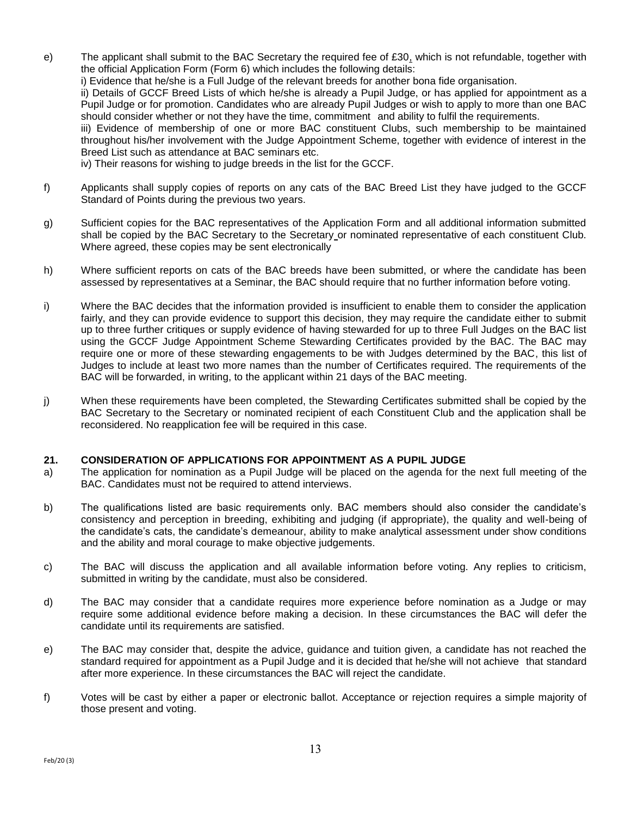- e)The applicant shall submit to the BAC Secretary the required fee of £30, which is not refundable, together with the official Application Form (Form 6) which includes the following details: i) Evidence that he/she is a Full Judge of the relevant breeds for another bona fide organisation. ii) Details of GCCF Breed Lists of which he/she is already a Pupil Judge, or has applied for appointment as a Pupil Judge or for promotion. Candidates who are already Pupil Judges or wish to apply to more than one BAC should consider whether or not they have the time, commitment and ability to fulfil the requirements. iii) Evidence of membership of one or more BAC constituent Clubs, such membership to be maintained throughout his/her involvement with the Judge Appointment Scheme, together with evidence of interest in the Breed List such as attendance at BAC seminars etc. iv) Their reasons for wishing to judge breeds in the list for the GCCF.
- f) Applicants shall supply copies of reports on any cats of the BAC Breed List they have judged to the GCCF Standard of Points during the previous two years.
- g) Sufficient copies for the BAC representatives of the Application Form and all additional information submitted shall be copied by the BAC Secretary to the Secretary or nominated representative of each constituent Club. Where agreed, these copies may be sent electronically
- h) Where sufficient reports on cats of the BAC breeds have been submitted, or where the candidate has been assessed by representatives at a Seminar, the BAC should require that no further information before voting.
- i) Where the BAC decides that the information provided is insufficient to enable them to consider the application fairly, and they can provide evidence to support this decision, they may require the candidate either to submit up to three further critiques or supply evidence of having stewarded for up to three Full Judges on the BAC list using the GCCF Judge Appointment Scheme Stewarding Certificates provided by the BAC. The BAC may require one or more of these stewarding engagements to be with Judges determined by the BAC, this list of Judges to include at least two more names than the number of Certificates required. The requirements of the BAC will be forwarded, in writing, to the applicant within 21 days of the BAC meeting.
- j) When these requirements have been completed, the Stewarding Certificates submitted shall be copied by the BAC Secretary to the Secretary or nominated recipient of each Constituent Club and the application shall be reconsidered. No reapplication fee will be required in this case.

### **21. CONSIDERATION OF APPLICATIONS FOR APPOINTMENT AS A PUPIL JUDGE**

- a) The application for nomination as a Pupil Judge will be placed on the agenda for the next full meeting of the BAC. Candidates must not be required to attend interviews.
- b) The qualifications listed are basic requirements only. BAC members should also consider the candidate's consistency and perception in breeding, exhibiting and judging (if appropriate), the quality and well-being of the candidate's cats, the candidate's demeanour, ability to make analytical assessment under show conditions and the ability and moral courage to make objective judgements.
- c) The BAC will discuss the application and all available information before voting. Any replies to criticism, submitted in writing by the candidate, must also be considered.
- d) The BAC may consider that a candidate requires more experience before nomination as a Judge or may require some additional evidence before making a decision. In these circumstances the BAC will defer the candidate until its requirements are satisfied.
- e) The BAC may consider that, despite the advice, guidance and tuition given, a candidate has not reached the standard required for appointment as a Pupil Judge and it is decided that he/she will not achieve that standard after more experience. In these circumstances the BAC will reject the candidate.
- f) Votes will be cast by either a paper or electronic ballot. Acceptance or rejection requires a simple majority of those present and voting.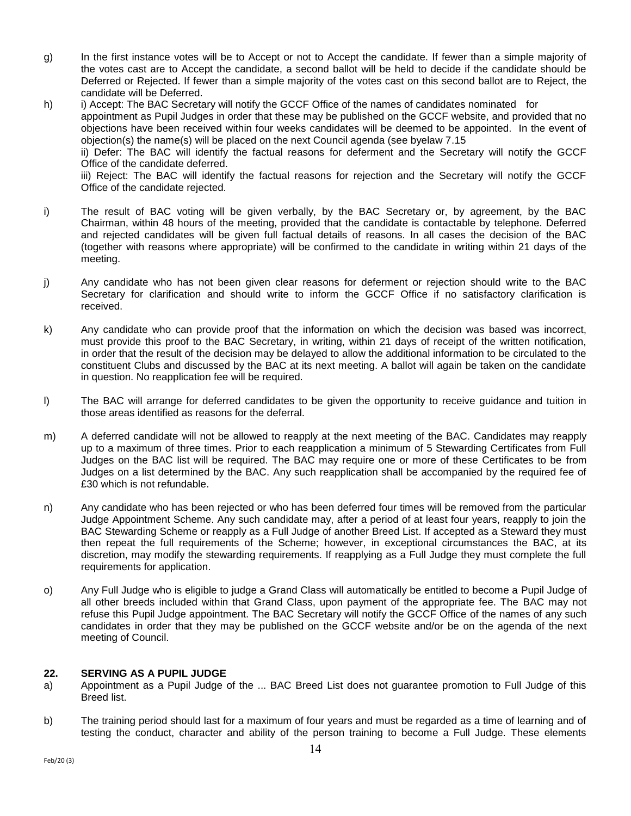- g) In the first instance votes will be to Accept or not to Accept the candidate. If fewer than a simple majority of the votes cast are to Accept the candidate, a second ballot will be held to decide if the candidate should be Deferred or Rejected. If fewer than a simple majority of the votes cast on this second ballot are to Reject, the candidate will be Deferred.
- h) i) Accept: The BAC Secretary will notify the GCCF Office of the names of candidates nominated for appointment as Pupil Judges in order that these may be published on the GCCF website, and provided that no objections have been received within four weeks candidates will be deemed to be appointed. In the event of objection(s) the name(s) will be placed on the next Council agenda (see byelaw 7.15 ii) Defer: The BAC will identify the factual reasons for deferment and the Secretary will notify the GCCF

Office of the candidate deferred.

iii) Reject: The BAC will identify the factual reasons for rejection and the Secretary will notify the GCCF Office of the candidate rejected.

- i) The result of BAC voting will be given verbally, by the BAC Secretary or, by agreement, by the BAC Chairman, within 48 hours of the meeting, provided that the candidate is contactable by telephone. Deferred and rejected candidates will be given full factual details of reasons. In all cases the decision of the BAC (together with reasons where appropriate) will be confirmed to the candidate in writing within 21 days of the meeting.
- j) Any candidate who has not been given clear reasons for deferment or rejection should write to the BAC Secretary for clarification and should write to inform the GCCF Office if no satisfactory clarification is received.
- k) Any candidate who can provide proof that the information on which the decision was based was incorrect, must provide this proof to the BAC Secretary, in writing, within 21 days of receipt of the written notification, in order that the result of the decision may be delayed to allow the additional information to be circulated to the constituent Clubs and discussed by the BAC at its next meeting. A ballot will again be taken on the candidate in question. No reapplication fee will be required.
- l) The BAC will arrange for deferred candidates to be given the opportunity to receive guidance and tuition in those areas identified as reasons for the deferral.
- m) A deferred candidate will not be allowed to reapply at the next meeting of the BAC. Candidates may reapply up to a maximum of three times. Prior to each reapplication a minimum of 5 Stewarding Certificates from Full Judges on the BAC list will be required. The BAC may require one or more of these Certificates to be from Judges on a list determined by the BAC. Any such reapplication shall be accompanied by the required fee of £30 which is not refundable.
- n) Any candidate who has been rejected or who has been deferred four times will be removed from the particular Judge Appointment Scheme. Any such candidate may, after a period of at least four years, reapply to join the BAC Stewarding Scheme or reapply as a Full Judge of another Breed List. If accepted as a Steward they must then repeat the full requirements of the Scheme; however, in exceptional circumstances the BAC, at its discretion, may modify the stewarding requirements. If reapplying as a Full Judge they must complete the full requirements for application.
- o) Any Full Judge who is eligible to judge a Grand Class will automatically be entitled to become a Pupil Judge of all other breeds included within that Grand Class, upon payment of the appropriate fee. The BAC may not refuse this Pupil Judge appointment. The BAC Secretary will notify the GCCF Office of the names of any such candidates in order that they may be published on the GCCF website and/or be on the agenda of the next meeting of Council.

# **22. SERVING AS A PUPIL JUDGE**

- a) Appointment as a Pupil Judge of the ... BAC Breed List does not guarantee promotion to Full Judge of this Breed list.
- b) The training period should last for a maximum of four years and must be regarded as a time of learning and of testing the conduct, character and ability of the person training to become a Full Judge. These elements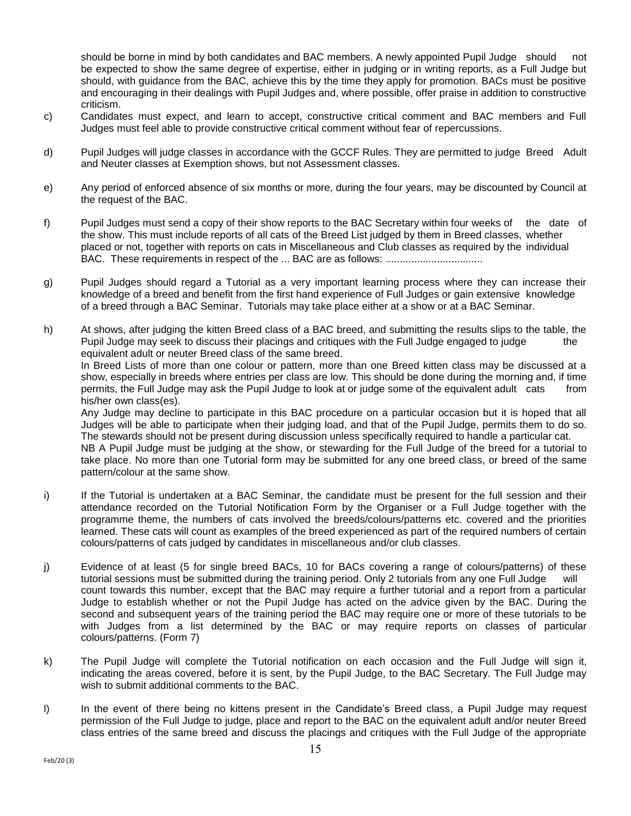should be borne in mind by both candidates and BAC members. A newly appointed Pupil Judge should not be expected to show the same degree of expertise, either in judging or in writing reports, as a Full Judge but should, with guidance from the BAC, achieve this by the time they apply for promotion. BACs must be positive and encouraging in their dealings with Pupil Judges and, where possible, offer praise in addition to constructive criticism.

- c) Candidates must expect, and learn to accept, constructive critical comment and BAC members and Full Judges must feel able to provide constructive critical comment without fear of repercussions.
- d) Pupil Judges will judge classes in accordance with the GCCF Rules. They are permitted to judge Breed Adult and Neuter classes at Exemption shows, but not Assessment classes.
- e) Any period of enforced absence of six months or more, during the four years, may be discounted by Council at the request of the BAC.
- f) Pupil Judges must send a copy of their show reports to the BAC Secretary within four weeks of the date of the show. This must include reports of all cats of the Breed List judged by them in Breed classes, whether placed or not, together with reports on cats in Miscellaneous and Club classes as required by the individual BAC. These requirements in respect of the ... BAC are as follows: ..................................
- g) Pupil Judges should regard a Tutorial as a very important learning process where they can increase their knowledge of a breed and benefit from the first hand experience of Full Judges or gain extensive knowledge of a breed through a BAC Seminar. Tutorials may take place either at a show or at a BAC Seminar.
- h) At shows, after judging the kitten Breed class of a BAC breed, and submitting the results slips to the table, the Pupil Judge may seek to discuss their placings and critiques with the Full Judge engaged to judge the equivalent adult or neuter Breed class of the same breed.

In Breed Lists of more than one colour or pattern, more than one Breed kitten class may be discussed at a show, especially in breeds where entries per class are low. This should be done during the morning and, if time permits, the Full Judge may ask the Pupil Judge to look at or judge some of the equivalent adult cats from his/her own class(es).

Any Judge may decline to participate in this BAC procedure on a particular occasion but it is hoped that all Judges will be able to participate when their judging load, and that of the Pupil Judge, permits them to do so. The stewards should not be present during discussion unless specifically required to handle a particular cat.

NB A Pupil Judge must be judging at the show, or stewarding for the Full Judge of the breed for a tutorial to take place. No more than one Tutorial form may be submitted for any one breed class, or breed of the same pattern/colour at the same show.

- i) If the Tutorial is undertaken at a BAC Seminar, the candidate must be present for the full session and their attendance recorded on the Tutorial Notification Form by the Organiser or a Full Judge together with the programme theme, the numbers of cats involved the breeds/colours/patterns etc. covered and the priorities learned. These cats will count as examples of the breed experienced as part of the required numbers of certain colours/patterns of cats judged by candidates in miscellaneous and/or club classes.
- j) Evidence of at least (5 for single breed BACs, 10 for BACs covering a range of colours/patterns) of these tutorial sessions must be submitted during the training period. Only 2 tutorials from any one Full Judge will count towards this number, except that the BAC may require a further tutorial and a report from a particular Judge to establish whether or not the Pupil Judge has acted on the advice given by the BAC. During the second and subsequent years of the training period the BAC may require one or more of these tutorials to be with Judges from a list determined by the BAC or may require reports on classes of particular colours/patterns. (Form 7)
- k) The Pupil Judge will complete the Tutorial notification on each occasion and the Full Judge will sign it, indicating the areas covered, before it is sent, by the Pupil Judge, to the BAC Secretary. The Full Judge may wish to submit additional comments to the BAC.
- l) In the event of there being no kittens present in the Candidate's Breed class, a Pupil Judge may request permission of the Full Judge to judge, place and report to the BAC on the equivalent adult and/or neuter Breed class entries of the same breed and discuss the placings and critiques with the Full Judge of the appropriate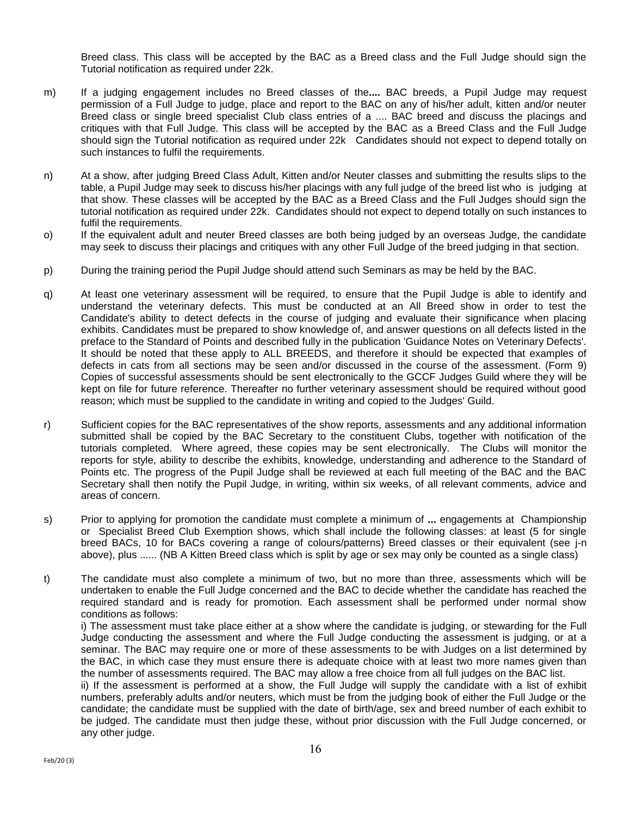Breed class. This class will be accepted by the BAC as a Breed class and the Full Judge should sign the Tutorial notification as required under 22k.

- m) If a judging engagement includes no Breed classes of the**....** BAC breeds, a Pupil Judge may request permission of a Full Judge to judge, place and report to the BAC on any of his/her adult, kitten and/or neuter Breed class or single breed specialist Club class entries of a .... BAC breed and discuss the placings and critiques with that Full Judge. This class will be accepted by the BAC as a Breed Class and the Full Judge should sign the Tutorial notification as required under 22k Candidates should not expect to depend totally on such instances to fulfil the requirements.
- n) At a show, after judging Breed Class Adult, Kitten and/or Neuter classes and submitting the results slips to the table, a Pupil Judge may seek to discuss his/her placings with any full judge of the breed list who is judging at that show. These classes will be accepted by the BAC as a Breed Class and the Full Judges should sign the tutorial notification as required under 22k. Candidates should not expect to depend totally on such instances to fulfil the requirements.
- o) If the equivalent adult and neuter Breed classes are both being judged by an overseas Judge, the candidate may seek to discuss their placings and critiques with any other Full Judge of the breed judging in that section.
- p) During the training period the Pupil Judge should attend such Seminars as may be held by the BAC.
- q) At least one veterinary assessment will be required, to ensure that the Pupil Judge is able to identify and understand the veterinary defects. This must be conducted at an All Breed show in order to test the Candidate's ability to detect defects in the course of judging and evaluate their significance when placing exhibits. Candidates must be prepared to show knowledge of, and answer questions on all defects listed in the preface to the Standard of Points and described fully in the publication 'Guidance Notes on Veterinary Defects'. It should be noted that these apply to ALL BREEDS, and therefore it should be expected that examples of defects in cats from all sections may be seen and/or discussed in the course of the assessment. (Form 9) Copies of successful assessments should be sent electronically to the GCCF Judges Guild where they will be kept on file for future reference. Thereafter no further veterinary assessment should be required without good reason; which must be supplied to the candidate in writing and copied to the Judges' Guild.
- r) Sufficient copies for the BAC representatives of the show reports, assessments and any additional information submitted shall be copied by the BAC Secretary to the constituent Clubs, together with notification of the tutorials completed. Where agreed, these copies may be sent electronically. The Clubs will monitor the reports for style, ability to describe the exhibits, knowledge, understanding and adherence to the Standard of Points etc. The progress of the Pupil Judge shall be reviewed at each full meeting of the BAC and the BAC Secretary shall then notify the Pupil Judge, in writing, within six weeks, of all relevant comments, advice and areas of concern.
- s) Prior to applying for promotion the candidate must complete a minimum of **...** engagements at Championship or Specialist Breed Club Exemption shows, which shall include the following classes: at least (5 for single breed BACs, 10 for BACs covering a range of colours/patterns) Breed classes or their equivalent (see j-n above), plus ...... (NB A Kitten Breed class which is split by age or sex may only be counted as a single class)
- t) The candidate must also complete a minimum of two, but no more than three, assessments which will be undertaken to enable the Full Judge concerned and the BAC to decide whether the candidate has reached the required standard and is ready for promotion. Each assessment shall be performed under normal show conditions as follows:

i) The assessment must take place either at a show where the candidate is judging, or stewarding for the Full Judge conducting the assessment and where the Full Judge conducting the assessment is judging, or at a seminar. The BAC may require one or more of these assessments to be with Judges on a list determined by the BAC, in which case they must ensure there is adequate choice with at least two more names given than the number of assessments required. The BAC may allow a free choice from all full judges on the BAC list.

ii) If the assessment is performed at a show, the Full Judge will supply the candidate with a list of exhibit numbers, preferably adults and/or neuters, which must be from the judging book of either the Full Judge or the candidate; the candidate must be supplied with the date of birth/age, sex and breed number of each exhibit to be judged. The candidate must then judge these, without prior discussion with the Full Judge concerned, or any other judge.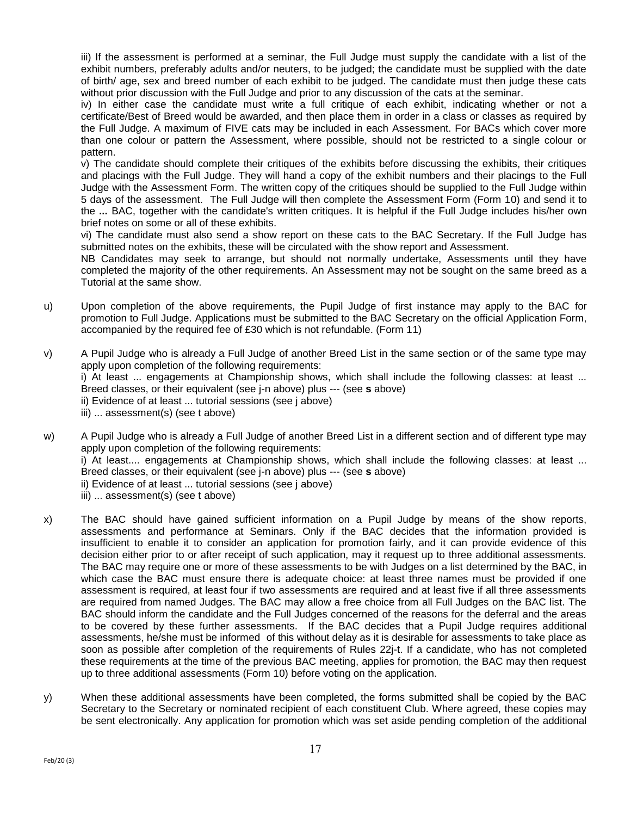iii) If the assessment is performed at a seminar, the Full Judge must supply the candidate with a list of the exhibit numbers, preferably adults and/or neuters, to be judged; the candidate must be supplied with the date of birth/ age, sex and breed number of each exhibit to be judged. The candidate must then judge these cats without prior discussion with the Full Judge and prior to any discussion of the cats at the seminar.

iv) In either case the candidate must write a full critique of each exhibit, indicating whether or not a certificate/Best of Breed would be awarded, and then place them in order in a class or classes as required by the Full Judge. A maximum of FIVE cats may be included in each Assessment. For BACs which cover more than one colour or pattern the Assessment, where possible, should not be restricted to a single colour or pattern.

v) The candidate should complete their critiques of the exhibits before discussing the exhibits, their critiques and placings with the Full Judge. They will hand a copy of the exhibit numbers and their placings to the Full Judge with the Assessment Form. The written copy of the critiques should be supplied to the Full Judge within 5 days of the assessment. The Full Judge will then complete the Assessment Form (Form 10) and send it to the **...** BAC, together with the candidate's written critiques. It is helpful if the Full Judge includes his/her own brief notes on some or all of these exhibits.

vi) The candidate must also send a show report on these cats to the BAC Secretary. If the Full Judge has submitted notes on the exhibits, these will be circulated with the show report and Assessment.

NB Candidates may seek to arrange, but should not normally undertake, Assessments until they have completed the majority of the other requirements. An Assessment may not be sought on the same breed as a Tutorial at the same show.

- u) Upon completion of the above requirements, the Pupil Judge of first instance may apply to the BAC for promotion to Full Judge. Applications must be submitted to the BAC Secretary on the official Application Form, accompanied by the required fee of £30 which is not refundable. (Form 11)
- v) A Pupil Judge who is already a Full Judge of another Breed List in the same section or of the same type may apply upon completion of the following requirements: i) At least ... engagements at Championship shows, which shall include the following classes: at least ... Breed classes, or their equivalent (see j-n above) plus --- (see **s** above) ii) Evidence of at least ... tutorial sessions (see j above) iii) ... assessment(s) (see t above)
- w) A Pupil Judge who is already a Full Judge of another Breed List in a different section and of different type may apply upon completion of the following requirements: i) At least.... engagements at Championship shows, which shall include the following classes: at least ... Breed classes, or their equivalent (see j-n above) plus --- (see **s** above) ii) Evidence of at least ... tutorial sessions (see j above) iii) ... assessment(s) (see t above)
- x) The BAC should have gained sufficient information on a Pupil Judge by means of the show reports, assessments and performance at Seminars. Only if the BAC decides that the information provided is insufficient to enable it to consider an application for promotion fairly, and it can provide evidence of this decision either prior to or after receipt of such application, may it request up to three additional assessments. The BAC may require one or more of these assessments to be with Judges on a list determined by the BAC, in which case the BAC must ensure there is adequate choice: at least three names must be provided if one assessment is required, at least four if two assessments are required and at least five if all three assessments are required from named Judges. The BAC may allow a free choice from all Full Judges on the BAC list. The BAC should inform the candidate and the Full Judges concerned of the reasons for the deferral and the areas to be covered by these further assessments. If the BAC decides that a Pupil Judge requires additional assessments, he/she must be informed of this without delay as it is desirable for assessments to take place as soon as possible after completion of the requirements of Rules 22j-t. If a candidate, who has not completed these requirements at the time of the previous BAC meeting, applies for promotion, the BAC may then request up to three additional assessments (Form 10) before voting on the application.
- y) When these additional assessments have been completed, the forms submitted shall be copied by the BAC Secretary to the Secretary or nominated recipient of each constituent Club. Where agreed, these copies may be sent electronically. Any application for promotion which was set aside pending completion of the additional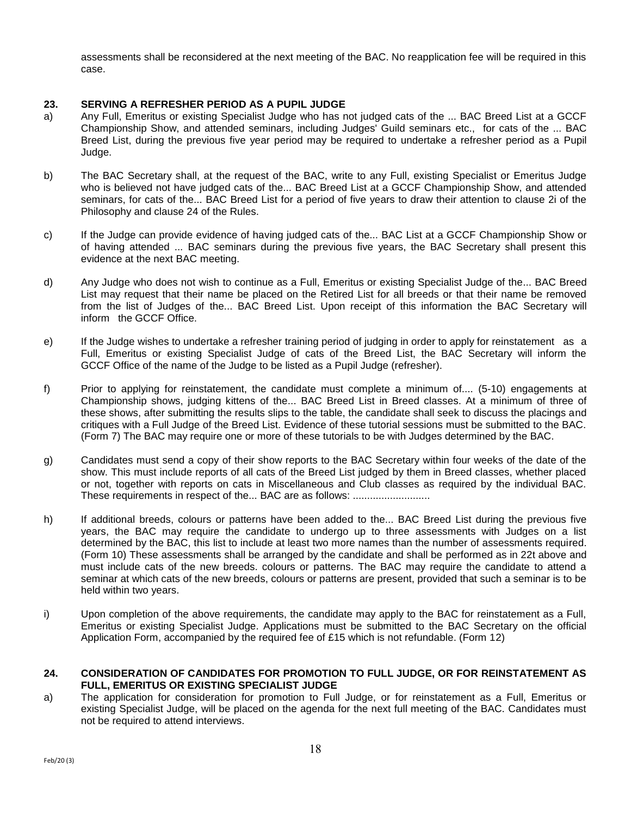assessments shall be reconsidered at the next meeting of the BAC. No reapplication fee will be required in this case.

# **23. SERVING A REFRESHER PERIOD AS A PUPIL JUDGE**

- a) Any Full, Emeritus or existing Specialist Judge who has not judged cats of the ... BAC Breed List at a GCCF Championship Show, and attended seminars, including Judges' Guild seminars etc., for cats of the ... BAC Breed List, during the previous five year period may be required to undertake a refresher period as a Pupil Judge.
- b) The BAC Secretary shall, at the request of the BAC, write to any Full, existing Specialist or Emeritus Judge who is believed not have judged cats of the... BAC Breed List at a GCCF Championship Show, and attended seminars, for cats of the... BAC Breed List for a period of five years to draw their attention to clause 2i of the Philosophy and clause 24 of the Rules.
- c) If the Judge can provide evidence of having judged cats of the... BAC List at a GCCF Championship Show or of having attended ... BAC seminars during the previous five years, the BAC Secretary shall present this evidence at the next BAC meeting.
- d) Any Judge who does not wish to continue as a Full, Emeritus or existing Specialist Judge of the... BAC Breed List may request that their name be placed on the Retired List for all breeds or that their name be removed from the list of Judges of the... BAC Breed List. Upon receipt of this information the BAC Secretary will inform the GCCF Office.
- e) If the Judge wishes to undertake a refresher training period of judging in order to apply for reinstatement as a Full, Emeritus or existing Specialist Judge of cats of the Breed List, the BAC Secretary will inform the GCCF Office of the name of the Judge to be listed as a Pupil Judge (refresher).
- f) Prior to applying for reinstatement, the candidate must complete a minimum of.... (5-10) engagements at Championship shows, judging kittens of the... BAC Breed List in Breed classes. At a minimum of three of these shows, after submitting the results slips to the table, the candidate shall seek to discuss the placings and critiques with a Full Judge of the Breed List. Evidence of these tutorial sessions must be submitted to the BAC. (Form 7) The BAC may require one or more of these tutorials to be with Judges determined by the BAC.
- g) Candidates must send a copy of their show reports to the BAC Secretary within four weeks of the date of the show. This must include reports of all cats of the Breed List judged by them in Breed classes, whether placed or not, together with reports on cats in Miscellaneous and Club classes as required by the individual BAC. These requirements in respect of the... BAC are as follows: ...........................
- h) If additional breeds, colours or patterns have been added to the... BAC Breed List during the previous five years, the BAC may require the candidate to undergo up to three assessments with Judges on a list determined by the BAC, this list to include at least two more names than the number of assessments required. (Form 10) These assessments shall be arranged by the candidate and shall be performed as in 22t above and must include cats of the new breeds. colours or patterns. The BAC may require the candidate to attend a seminar at which cats of the new breeds, colours or patterns are present, provided that such a seminar is to be held within two years.
- i) Upon completion of the above requirements, the candidate may apply to the BAC for reinstatement as a Full, Emeritus or existing Specialist Judge. Applications must be submitted to the BAC Secretary on the official Application Form, accompanied by the required fee of £15 which is not refundable. (Form 12)

# **24. CONSIDERATION OF CANDIDATES FOR PROMOTION TO FULL JUDGE, OR FOR REINSTATEMENT AS FULL, EMERITUS OR EXISTING SPECIALIST JUDGE**

a) The application for consideration for promotion to Full Judge, or for reinstatement as a Full, Emeritus or existing Specialist Judge, will be placed on the agenda for the next full meeting of the BAC. Candidates must not be required to attend interviews.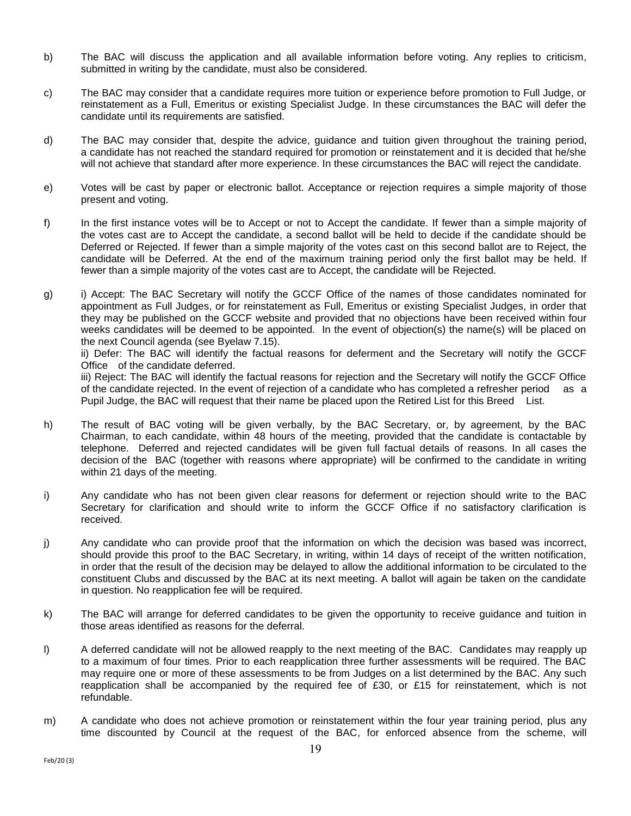- b) The BAC will discuss the application and all available information before voting. Any replies to criticism, submitted in writing by the candidate, must also be considered.
- c) The BAC may consider that a candidate requires more tuition or experience before promotion to Full Judge, or reinstatement as a Full, Emeritus or existing Specialist Judge. In these circumstances the BAC will defer the candidate until its requirements are satisfied.
- d) The BAC may consider that, despite the advice, guidance and tuition given throughout the training period, a candidate has not reached the standard required for promotion or reinstatement and it is decided that he/she will not achieve that standard after more experience. In these circumstances the BAC will reject the candidate.
- e) Votes will be cast by paper or electronic ballot. Acceptance or rejection requires a simple majority of those present and voting.
- f) In the first instance votes will be to Accept or not to Accept the candidate. If fewer than a simple majority of the votes cast are to Accept the candidate, a second ballot will be held to decide if the candidate should be Deferred or Rejected. If fewer than a simple majority of the votes cast on this second ballot are to Reject, the candidate will be Deferred. At the end of the maximum training period only the first ballot may be held. If fewer than a simple majority of the votes cast are to Accept, the candidate will be Rejected.
- g) i) Accept: The BAC Secretary will notify the GCCF Office of the names of those candidates nominated for appointment as Full Judges, or for reinstatement as Full, Emeritus or existing Specialist Judges, in order that they may be published on the GCCF website and provided that no objections have been received within four weeks candidates will be deemed to be appointed. In the event of objection(s) the name(s) will be placed on the next Council agenda (see Byelaw 7.15).

ii) Defer: The BAC will identify the factual reasons for deferment and the Secretary will notify the GCCF Office of the candidate deferred.

iii) Reject: The BAC will identify the factual reasons for rejection and the Secretary will notify the GCCF Office of the candidate rejected. In the event of rejection of a candidate who has completed a refresher period as a Pupil Judge, the BAC will request that their name be placed upon the Retired List for this Breed List.

- h) The result of BAC voting will be given verbally, by the BAC Secretary, or, by agreement, by the BAC Chairman, to each candidate, within 48 hours of the meeting, provided that the candidate is contactable by telephone. Deferred and rejected candidates will be given full factual details of reasons. In all cases the decision of the BAC (together with reasons where appropriate) will be confirmed to the candidate in writing within 21 days of the meeting.
- i) Any candidate who has not been given clear reasons for deferment or rejection should write to the BAC Secretary for clarification and should write to inform the GCCF Office if no satisfactory clarification is received.
- j) Any candidate who can provide proof that the information on which the decision was based was incorrect, should provide this proof to the BAC Secretary, in writing, within 14 days of receipt of the written notification, in order that the result of the decision may be delayed to allow the additional information to be circulated to the constituent Clubs and discussed by the BAC at its next meeting. A ballot will again be taken on the candidate in question. No reapplication fee will be required.
- k) The BAC will arrange for deferred candidates to be given the opportunity to receive guidance and tuition in those areas identified as reasons for the deferral.
- l) A deferred candidate will not be allowed reapply to the next meeting of the BAC. Candidates may reapply up to a maximum of four times. Prior to each reapplication three further assessments will be required. The BAC may require one or more of these assessments to be from Judges on a list determined by the BAC. Any such reapplication shall be accompanied by the required fee of £30, or £15 for reinstatement, which is not refundable.
- m) A candidate who does not achieve promotion or reinstatement within the four year training period, plus any time discounted by Council at the request of the BAC, for enforced absence from the scheme, will